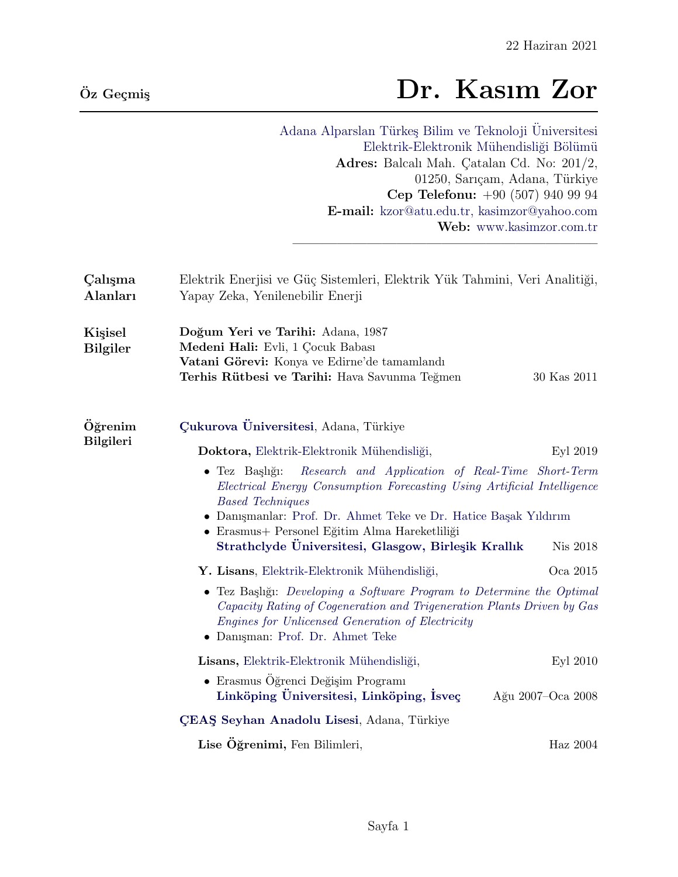# $\bar{O}$ z Geçmiş  $\Gamma$  Dr. Kasım Zor

Adana Alparslan Türkeş Bilim ve Teknoloji Üniversitesi Elektrik-Elektronik Mühendisliği Bölümü Adres: Balcalı Mah. Çatalan Cd. No: 201/2, 01250, Sarıçam, Adana, Türkiye Cep Telefonu: +90 (507) 940 99 94 E-mail: [kzor@atu.edu.tr, kasimzor@yahoo.com](mailto:kzor@atu.edu.tr, kasimzor@yahoo.com) Web: [www.kasimzor.com.tr](http://www.kasimzor.com.tr/)

————————————————————–

| Calisma<br>Alanları        | Elektrik Enerjisi ve Güç Sistemleri, Elektrik Yük Tahmini, Veri Analitiği,<br>Yapay Zeka, Yenilenebilir Enerji                                                                                                                                                                                                                                               |                   |  |
|----------------------------|--------------------------------------------------------------------------------------------------------------------------------------------------------------------------------------------------------------------------------------------------------------------------------------------------------------------------------------------------------------|-------------------|--|
| Kişisel<br><b>Bilgiler</b> | Doğum Yeri ve Tarihi: Adana, 1987<br>Medeni Hali: Evli, 1 Çocuk Babası<br>Vatani Görevi: Konya ve Edirne'de tamamlandı<br>Terhis Rütbesi ve Tarihi: Hava Savunma Teğmen                                                                                                                                                                                      | 30 Kas 2011       |  |
| Öğrenim<br>Bilgileri       | Çukurova Üniversitesi, Adana, Türkiye                                                                                                                                                                                                                                                                                                                        |                   |  |
|                            | Doktora, Elektrik-Elektronik Mühendisliği,                                                                                                                                                                                                                                                                                                                   | Eyl 2019          |  |
|                            | Research and Application of Real-Time Short-Term<br>$\bullet$ Tez Başlığı:<br>Electrical Energy Consumption Forecasting Using Artificial Intelligence<br><b>Based Techniques</b><br>• Danışmanlar: Prof. Dr. Ahmet Teke ve Dr. Hatice Başak Yıldırım<br>• Erasmus+ Personel Eğitim Alma Hareketliliği<br>Strathclyde Universitesi, Glasgow, Birleşik Krallık | Nis 2018          |  |
|                            | Y. Lisans, Elektrik-Elektronik Mühendisliği,                                                                                                                                                                                                                                                                                                                 | Oca 2015          |  |
|                            | • Tez Başlığı: Developing a Software Program to Determine the Optimal<br>Capacity Rating of Cogeneration and Trigeneration Plants Driven by Gas<br>Engines for Unlicensed Generation of Electricity<br>• Danişman: Prof. Dr. Ahmet Teke                                                                                                                      |                   |  |
|                            | Lisans, Elektrik-Elektronik Mühendisliği,                                                                                                                                                                                                                                                                                                                    | Eyl 2010          |  |
|                            | • Erasmus Öğrenci Değişim Programı<br>Linköping Üniversitesi, Linköping, Isveç                                                                                                                                                                                                                                                                               | Ağu 2007–Oca 2008 |  |
|                            | ÇEAŞ Seyhan Anadolu Lisesi, Adana, Türkiye                                                                                                                                                                                                                                                                                                                   |                   |  |
|                            | Lise Öğrenimi, Fen Bilimleri,                                                                                                                                                                                                                                                                                                                                | Haz 2004          |  |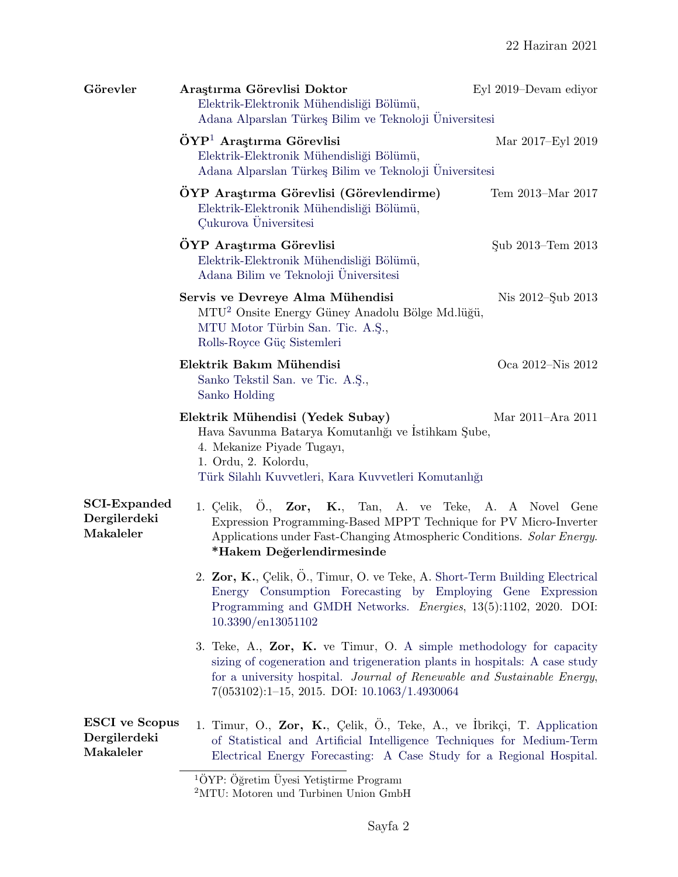| Araştırma Görevlisi Doktor<br>Elektrik-Elektronik Mühendisliği Bölümü,<br>Adana Alparslan Türkeş Bilim ve Teknoloji Universitesi                                                                                                                                                    | Eyl 2019–Devam ediyor                                                            |  |
|-------------------------------------------------------------------------------------------------------------------------------------------------------------------------------------------------------------------------------------------------------------------------------------|----------------------------------------------------------------------------------|--|
| $\ddot{\mathrm{O}}\mathrm{Y}\mathrm{P}^1$ Araştırma Görevlisi<br>Elektrik-Elektronik Mühendisliği Bölümü,<br>Adana Alparslan Türkeş Bilim ve Teknoloji Universitesi                                                                                                                 | Mar 2017–Eyl 2019                                                                |  |
| OYP Araştırma Görevlisi (Görevlendirme)<br>Elektrik-Elektronik Mühendisliği Bölümü,<br>Çukurova Üniversitesi                                                                                                                                                                        | Tem 2013-Mar 2017                                                                |  |
| ÖYP Araştırma Görevlisi<br>Elektrik-Elektronik Mühendisliği Bölümü,<br>Adana Bilim ve Teknoloji Üniversitesi                                                                                                                                                                        | Sub 2013–Tem 2013                                                                |  |
| Servis ve Devreye Alma Mühendisi<br>MTU <sup>2</sup> Onsite Energy Güney Anadolu Bölge Md.lüğü,<br>MTU Motor Türbin San. Tic. A.Ş.,<br>Rolls-Royce Güç Sistemleri                                                                                                                   | Nis 2012-Şub 2013                                                                |  |
| Elektrik Bakım Mühendisi<br>Sanko Tekstil San. ve Tic. A.Ş.,<br>Sanko Holding                                                                                                                                                                                                       | Oca 2012-Nis 2012                                                                |  |
| Elektrik Mühendisi (Yedek Subay)<br>Hava Savunma Batarya Komutanlığı ve Istihkam Şube,<br>4. Mekanize Piyade Tugayı,<br>1. Ordu, 2. Kolordu,<br>Türk Silahlı Kuvvetleri, Kara Kuvvetleri Komutanlığı                                                                                | Mar 2011–Ara 2011                                                                |  |
| 1. Çelik, Ö., Zor, K., Tan, A. ve Teke, A. A Novel Gene<br>Expression Programming-Based MPPT Technique for PV Micro-Inverter<br>Applications under Fast-Changing Atmospheric Conditions. Solar Energy.<br>*Hakem Değerlendirmesinde                                                 |                                                                                  |  |
| 2. Zor, K., Çelik, Ö., Timur, O. ve Teke, A. Short-Term Building Electrical<br>Energy Consumption Forecasting by Employing Gene Expression<br>Programming and GMDH Networks. <i>Energies</i> , 13(5):1102, 2020. DOI:<br>10.3390/en13051102                                         |                                                                                  |  |
| 3. Teke, A., $Zor$ , K. ve Timur, O. A simple methodology for capacity<br>sizing of cogeneration and trigeneration plants in hospitals: A case study<br>for a university hospital. Journal of Renewable and Sustainable Energy,<br>$7(053102):1-15, 2015.$ DOI: $10.1063/1.4930064$ |                                                                                  |  |
| <b>ESCI</b> ve Scopus<br>1. Timur, O., Zor, K., Çelik, Ö., Teke, A., ve İbrikçi, T. Application<br>Dergilerdeki<br>of Statistical and Artificial Intelligence Techniques for Medium-Term<br>Makaleler<br>Electrical Energy Forecasting: A Case Study for a Regional Hospital.       |                                                                                  |  |
|                                                                                                                                                                                                                                                                                     | $\overline{10}$ VD. $\overline{0}$ eratim $\overline{1}$ vosi Vetistirme Program |  |

<span id="page-1-0"></span> $1\text{ÖYP: Öğretim Üyesi Yetiştirme Programı}$ 

<span id="page-1-1"></span><sup>2</sup>MTU: Motoren und Turbinen Union GmbH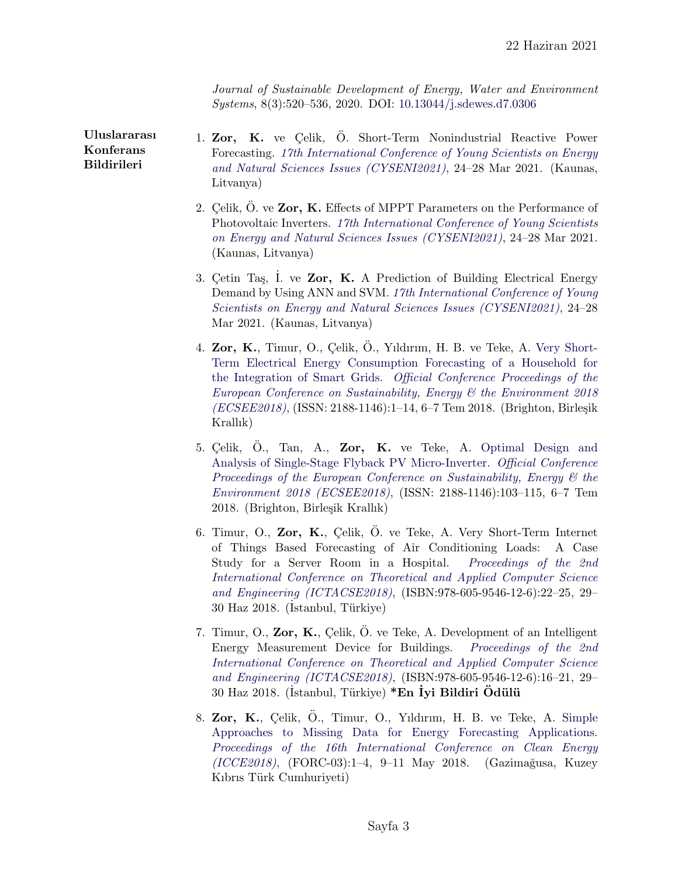Journal of Sustainable Development of Energy, Water and Environment Systems, 8(3):520–536, 2020. DOI: [10.13044/j.sdewes.d7.0306](http://dx.doi.org/10.13044/j.sdewes.d7.0306)

Uluslararası Konferans Bildirileri

- 1. Zor, K. ve Celik, O. Short-Term Nonindustrial Reactive Power Forecasting. [17th International Conference of Young Scientists on Energy](http://cyseni.com) [and Natural Sciences Issues \(CYSENI2021\)](http://cyseni.com), 24–28 Mar 2021. (Kaunas, Litvanya)
- 2. Celik,  $\dot{O}$ . ve Zor, K. Effects of MPPT Parameters on the Performance of Photovoltaic Inverters. [17th International Conference of Young Scientists](http://cyseni.com) [on Energy and Natural Sciences Issues \(CYSENI2021\)](http://cyseni.com), 24–28 Mar 2021. (Kaunas, Litvanya)
- 3. Cetin Tas, I. ve Zor, K. A Prediction of Building Electrical Energy Demand by Using ANN and SVM. [17th International Conference of Young](http://cyseni.com) [Scientists on Energy and Natural Sciences Issues \(CYSENI2021\)](http://cyseni.com), 24–28 Mar 2021. (Kaunas, Litvanya)
- 4. Zor, K., Timur, O., Çelik, O., Yıldırım, H. B. ve Teke, A. [Very Short-](http://25qt511nswfi49iayd31ch80-wpengine.netdna-ssl.com/wp-content/uploads/papers/ecsee2018/ECSEE2018_39266.pdf)[Term Electrical Energy Consumption Forecasting of a Household for](http://25qt511nswfi49iayd31ch80-wpengine.netdna-ssl.com/wp-content/uploads/papers/ecsee2018/ECSEE2018_39266.pdf) [the Integration of Smart Grids.](http://25qt511nswfi49iayd31ch80-wpengine.netdna-ssl.com/wp-content/uploads/papers/ecsee2018/ECSEE2018_39266.pdf) [Official Conference Proceedings of the](https://ecsee.iafor.org) [European Conference on Sustainability, Energy & the Environment 2018](https://ecsee.iafor.org) [\(ECSEE2018\)](https://ecsee.iafor.org), (ISSN: 2188-1146):1-14, 6-7 Tem 2018. (Brighton, Birleşik Krallık)
- 5. Celik, O., Tan, A., Zor, K. ve Teke, A. [Optimal Design and](http://25qt511nswfi49iayd31ch80-wpengine.netdna-ssl.com/wp-content/uploads/papers/ecsee2018/ECSEE2018_41431.pdf) [Analysis of Single-Stage Flyback PV Micro-Inverter.](http://25qt511nswfi49iayd31ch80-wpengine.netdna-ssl.com/wp-content/uploads/papers/ecsee2018/ECSEE2018_41431.pdf) [Official Conference](https://ecsee.iafor.org) [Proceedings of the European Conference on Sustainability, Energy & the](https://ecsee.iafor.org) [Environment 2018 \(ECSEE2018\)](https://ecsee.iafor.org), (ISSN: 2188-1146):103–115, 6–7 Tem 2018. (Brighton, Birleşik Krallık)
- 6. Timur, O., Zor, K., Çelik, Ö. ve Teke, A. Very Short-Term Internet of Things Based Forecasting of Air Conditioning Loads: A Case Study for a Server Room in a Hospital. [Proceedings of the 2nd](http://www.ictacse.com/index.php/en/) [International Conference on Theoretical and Applied Computer Science](http://www.ictacse.com/index.php/en/) [and Engineering \(ICTACSE2018\)](http://www.ictacse.com/index.php/en/), (ISBN:978-605-9546-12-6):22–25, 29– 30 Haz 2018. (Istanbul, Türkiye)
- 7. Timur, O., Zor, K., Çelik, Ö. ve Teke, A. Development of an Intelligent Energy Measurement Device for Buildings. [Proceedings of the 2nd](http://www.ictacse.com/index.php/en/) [International Conference on Theoretical and Applied Computer Science](http://www.ictacse.com/index.php/en/) [and Engineering \(ICTACSE2018\)](http://www.ictacse.com/index.php/en/), (ISBN:978-605-9546-12-6):16–21, 29– 30 Haz 2018. (İstanbul, Türkiye) \*En İyi Bildiri Ödülü
- 8. Zor, K., Çelik, O., Timur, O., Yıldırım, H. B. ve Teke, A. [Simple](https://www.researchgate.net/publication/325181817_Simple_Approaches_to_Missing_Data_for_Energy_Forecasting_Applications) [Approaches to Missing Data for Energy Forecasting Applications.](https://www.researchgate.net/publication/325181817_Simple_Approaches_to_Missing_Data_for_Energy_Forecasting_Applications) [Proceedings of the 16th International Conference on Clean Energy](http://icce2018.emu.edu.tr/en)  $(ICCE2018)$ ,  $(FORC-03):1-4$ , 9-11 May 2018.  $(Gazimağusa, Kuzey)$ Kıbrıs Türk Cumhuriyeti)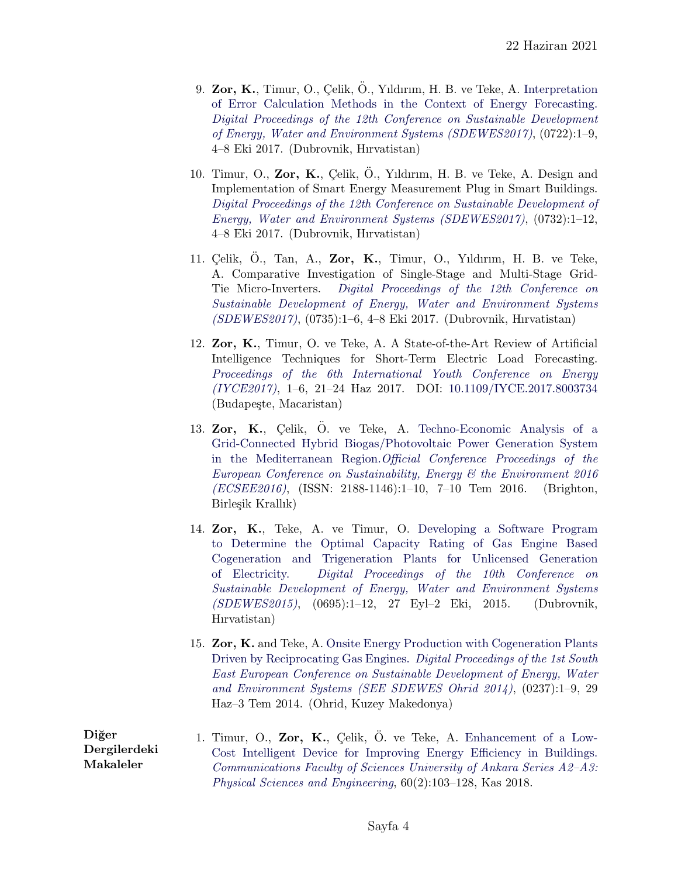- 9. Zor, K., Timur, O., Çelik, Ö., Yıldırım, H. B. ve Teke, A. [Interpretation](https://www.researchgate.net/publication/320310871_Interpretation_of_Error_Calculation_Methods_in_the_Context_of_Energy_Forecasting) [of Error Calculation Methods in the Context of Energy Forecasting.](https://www.researchgate.net/publication/320310871_Interpretation_of_Error_Calculation_Methods_in_the_Context_of_Energy_Forecasting) [Digital Proceedings of the 12th Conference on Sustainable Development](http://www.dubrovnik2017.sdewes.org) [of Energy, Water and Environment Systems \(SDEWES2017\)](http://www.dubrovnik2017.sdewes.org), (0722):1–9, 4–8 Eki 2017. (Dubrovnik, Hırvatistan)
- 10. Timur, O., Zor, K., Çelik, Ö., Yıldırım, H. B. ve Teke, A. Design and Implementation of Smart Energy Measurement Plug in Smart Buildings. [Digital Proceedings of the 12th Conference on Sustainable Development of](http://www.dubrovnik2017.sdewes.org) [Energy, Water and Environment Systems \(SDEWES2017\)](http://www.dubrovnik2017.sdewes.org), (0732):1–12, 4–8 Eki 2017. (Dubrovnik, Hırvatistan)
- 11. Celik, O., Tan, A., Zor, K., Timur, O., Yıldırım, H. B. ve Teke, A. Comparative Investigation of Single-Stage and Multi-Stage Grid-Tie Micro-Inverters. [Digital Proceedings of the 12th Conference on](http://www.dubrovnik2017.sdewes.org) [Sustainable Development of Energy, Water and Environment Systems](http://www.dubrovnik2017.sdewes.org) [\(SDEWES2017\)](http://www.dubrovnik2017.sdewes.org), (0735):1–6, 4–8 Eki 2017. (Dubrovnik, Hırvatistan)
- 12. Zor, K., Timur, O. ve Teke, A. A State-of-the-Art Review of Artificial Intelligence Techniques for Short-Term Electric Load Forecasting. [Proceedings of the 6th International Youth Conference on Energy](http://www.iyce-conf.org) [\(IYCE2017\)](http://www.iyce-conf.org), 1–6, 21–24 Haz 2017. DOI: [10.1109/IYCE.2017.8003734](https://doi.org/10.1109/IYCE.2017.8003734) (Budapeste, Macaristan)
- 13. Zor, K., Celik, Ö. ve Teke, A. [Techno-Economic Analysis of a](http://papers.iafor.org/wp-content/uploads/papers/ecsee2016/ECSEE2016_26456.pdf) [Grid-Connected Hybrid Biogas/Photovoltaic Power Generation System](http://papers.iafor.org/wp-content/uploads/papers/ecsee2016/ECSEE2016_26456.pdf) [in the Mediterranean Region.](http://papers.iafor.org/wp-content/uploads/papers/ecsee2016/ECSEE2016_26456.pdf)[Official Conference Proceedings of the](https://ecsee.iafor.org/ecsee2016/) [European Conference on Sustainability, Energy & the Environment 2016](https://ecsee.iafor.org/ecsee2016/) [\(ECSEE2016\)](https://ecsee.iafor.org/ecsee2016/), (ISSN: 2188-1146):1–10, 7–10 Tem 2016. (Brighton, Birleşik Krallık)
- 14. Zor, K., Teke, A. ve Timur, O. [Developing a Software Program](https://www.researchgate.net/publication/312054399_Developing_a_Software_Program_to_Determine_the_Optimal_Capacity_Rating_of_Gas_Engine_Based_Cogeneration_and_Trigeneration_Plants_for_Unlicensed_Generation_of_Electricity) [to Determine the Optimal Capacity Rating of Gas Engine Based](https://www.researchgate.net/publication/312054399_Developing_a_Software_Program_to_Determine_the_Optimal_Capacity_Rating_of_Gas_Engine_Based_Cogeneration_and_Trigeneration_Plants_for_Unlicensed_Generation_of_Electricity) [Cogeneration and Trigeneration Plants for Unlicensed Generation](https://www.researchgate.net/publication/312054399_Developing_a_Software_Program_to_Determine_the_Optimal_Capacity_Rating_of_Gas_Engine_Based_Cogeneration_and_Trigeneration_Plants_for_Unlicensed_Generation_of_Electricity) [of Electricity.](https://www.researchgate.net/publication/312054399_Developing_a_Software_Program_to_Determine_the_Optimal_Capacity_Rating_of_Gas_Engine_Based_Cogeneration_and_Trigeneration_Plants_for_Unlicensed_Generation_of_Electricity) [Digital Proceedings of the 10th Conference on](http://www.dubrovnik2015.sdewes.org) [Sustainable Development of Energy, Water and Environment Systems](http://www.dubrovnik2015.sdewes.org) [\(SDEWES2015\)](http://www.dubrovnik2015.sdewes.org), (0695):1–12, 27 Eyl–2 Eki, 2015. (Dubrovnik, Hırvatistan)
- 15. Zor, K. and Teke, A. [Onsite Energy Production with Cogeneration Plants](https://www.researchgate.net/publication/263846847_Onsite_Energy_Production_with_Cogeneration_Plants_Driven_by_Reciprocating_Gas_Engines) [Driven by Reciprocating Gas Engines.](https://www.researchgate.net/publication/263846847_Onsite_Energy_Production_with_Cogeneration_Plants_Driven_by_Reciprocating_Gas_Engines) [Digital Proceedings of the 1st South](http://www.ohrid2014.sdewes.org) [East European Conference on Sustainable Development of Energy, Water](http://www.ohrid2014.sdewes.org) [and Environment Systems \(SEE SDEWES Ohrid 2014\)](http://www.ohrid2014.sdewes.org), (0237):1–9, 29 Haz–3 Tem 2014. (Ohrid, Kuzey Makedonya)

Diğer Dergilerdeki Makaleler 1. Timur, O., Zor, K., Celik, Ö. ve Teke, A. [Enhancement of a Low-](http://dergipark.gov.tr/download/article-file/577284)[Cost Intelligent Device for Improving Energy Efficiency in Buildings.](http://dergipark.gov.tr/download/article-file/577284) [Communications Faculty of Sciences University of Ankara Series A2–A3:](http://dergipark.gov.tr/aupse) [Physical Sciences and Engineering](http://dergipark.gov.tr/aupse), 60(2):103–128, Kas 2018.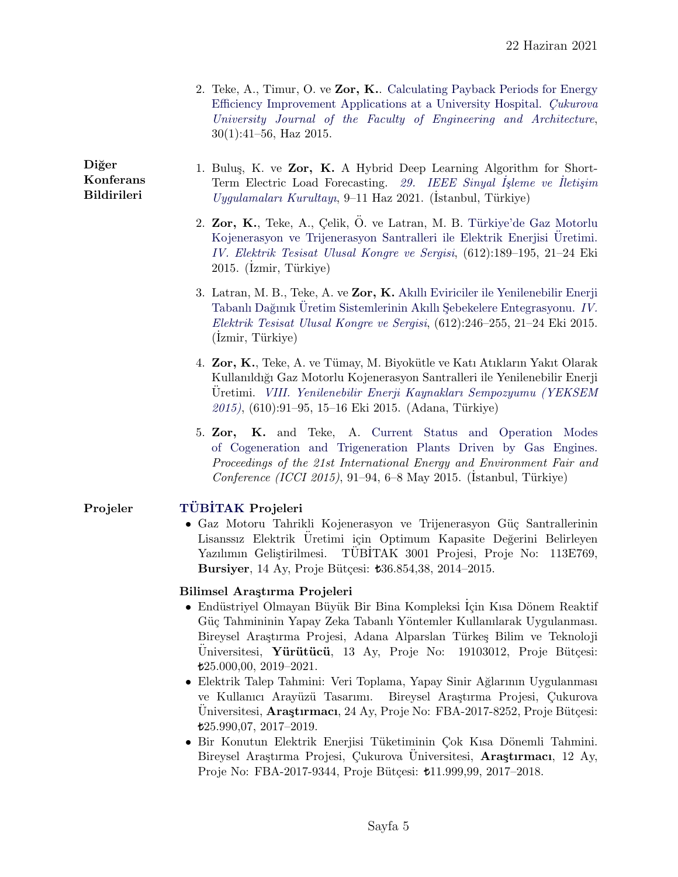| 2. Teke, A., Timur, O. ve Zor, K. Calculating Payback Periods for Energy |
|--------------------------------------------------------------------------|
| Efficiency Improvement Applications at a University Hospital. Cukurova   |
| University Journal of the Faculty of Engineering and Architecture,       |
| $30(1):41-56$ , Haz 2015.                                                |

#### Diğer Konferans Bildirileri

- 1. Bulus, K. ve Zor, K. A Hybrid Deep Learning Algorithm for Short-Term Electric Load Forecasting. [29. IEEE Sinyal](https://siu2021.bau.edu.tr/tr/) İşleme ve İletişim  $Uyqulamalaru Kurultayu, 9–11 Haz 2021. (İstanbul, Türkiye)$ 
	- 2. Zor, K., Teke, A., Çelik, Ö. ve Latran, M. B. Türkiye'de Gaz Motorlu [Kojenerasyon ve Trijenerasyon Santralleri ile Elektrik Enerjisi](https://www.researchgate.net/publication/309859143_Turkiye%27de_Gaz_Motorlu_Kojenerasyon_ve_Trijenerasyon_Santralleri_ile_Elektrik_Enerjisi_Uretimi) Üretimi. [IV. Elektrik Tesisat Ulusal Kongre ve Sergisi](http://www.emo.org.tr/etkinlikler/etuk/index.php?etkinlikkod=234), (612):189–195, 21–24 Eki 2015. (İzmir, Türkiye)
	- 3. Latran, M. B., Teke, A. ve Zor, K. [Akıllı Eviriciler ile Yenilenebilir Enerji](https://www.researchgate.net/profile/Kasim_Zor/publication/309859332_Akilli_Eviriciler_ile_Yenilenebilir_Enerji_Tabanli_Daginik_Uretim_Sistemlerinin_Akilli_Sebekelere_Entegrasyonu/links/586cb3ed08ae8fce4919f1b2/Akilli-Eviriciler-ile-Yenilenebilir-Enerji-Tabanli-Daginik-Ueretim-Sistemlerinin-Akilli-Sebekelere-Entegrasyonu.pdf) Tabanlı Dağınık Uretim Sistemlerinin Akıllı Şebekelere Entegrasyonu. [IV.](http://www.emo.org.tr/etkinlikler/etuk/index.php?etkinlikkod=234) [Elektrik Tesisat Ulusal Kongre ve Sergisi](http://www.emo.org.tr/etkinlikler/etuk/index.php?etkinlikkod=234), (612):246–255, 21–24 Eki 2015. (İzmir, Türkiye)
	- 4. Zor, K., Teke, A. ve Tümay, M. Biyokütle ve Katı Atıkların Yakıt Olarak Kullanıldı˘gı Gaz Motorlu Kojenerasyon Santralleri ile Yenilenebilir Enerji Uretimi. [VIII. Yenilenebilir Enerji Kaynakları Sempozyumu \(YEKSEM](http://www.emo.org.tr/etkinlikler/yeksem/index.php?etkinlikkod=241) [2015\)](http://www.emo.org.tr/etkinlikler/yeksem/index.php?etkinlikkod=241), (610):91–95, 15–16 Eki 2015. (Adana, Türkiye)
	- 5. Zor, K. and Teke, A. [Current Status and Operation Modes](https://www.researchgate.net/publication/312069728_Current_Status_and_Operation_Modes_of_Cogeneration_and_Trigeneration_Plants_Driven_by_Gas_Engines) [of Cogeneration and Trigeneration Plants Driven by Gas Engines.](https://www.researchgate.net/publication/312069728_Current_Status_and_Operation_Modes_of_Cogeneration_and_Trigeneration_Plants_Driven_by_Gas_Engines) Proceedings of the 21st International Energy and Environment Fair and  $Conference (ICCI 2015), 91-94, 6-8 May 2015. (İstanbul, Türkiye)$

## Projeler TÜBİTAK Projeleri

• Gaz Motoru Tahrikli Kojenerasyon ve Trijenerasyon Güç Santrallerinin Lisanssız Elektrik Uretimi için Optimum Kapasite Değerini Belirleyen Yazılımın Geliştirilmesi. TÜBİTAK 3001 Projesi, Proje No: 113E769, Bursiyer, 14 Ay, Proje Bütçesi:  $\text{\textsterling}36.854, 38, 2014-2015.$ 

## Bilimsel Araştırma Projeleri

- Endüstriyel Olmayan Büyük Bir Bina Kompleksi İçin Kısa Dönem Reaktif Güç Tahmininin Yapay Zeka Tabanlı Yöntemler Kullanılarak Uygulanması. Bireysel Araştırma Projesi, Adana Alparslan Türkeş Bilim ve Teknoloji Universitesi, **Yürütücü**, 13 Ay, Proje No: 19103012, Proje Bütçesi: 25.000,00, 2019–2021.
- Elektrik Talep Tahmini: Veri Toplama, Yapay Sinir Ağlarının Uygulanması ve Kullanıcı Arayüzü Tasarımı. Bireysel Araştırma Projesi, Çukurova Üniversitesi, **Araştırmacı**, 24 Ay, Proje No: FBA-2017-8252, Proje Bütçesi: 25.990,07, 2017–2019.
- Bir Konutun Elektrik Enerjisi Tüketiminin Çok Kısa Dönemli Tahmini. Bireysel Araştırma Projesi, Çukurova Universitesi, **Araştırmacı**, 12 Ay, Proje No: FBA-2017-9344, Proje Bütçesi:  $t$ 11.999,99, 2017-2018.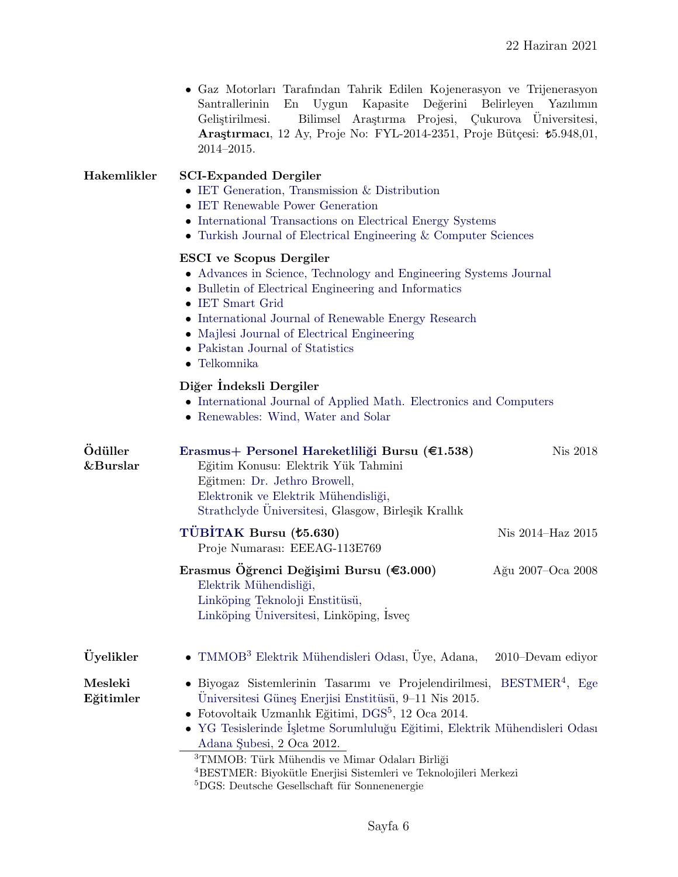| • Gaz Motorları Tarafından Tahrik Edilen Kojenerasyon ve Trijenerasyon         |  |  |  |
|--------------------------------------------------------------------------------|--|--|--|
| Santrallerinin En Uygun Kapasite Değerini Belirleyen Yazılımın                 |  |  |  |
| Gelistirilmesi. Bilimsel Arastırma Projesi, Çukurova Universitesi,             |  |  |  |
| <b>Arastirmaci</b> , 12 Ay, Proje No: FYL-2014-2351, Proje Bütcesi: t5.948,01, |  |  |  |
| $2014 - 2015$ .                                                                |  |  |  |

| Hakemlikler | <b>SCI-Expanded Dergiler</b><br>• IET Generation, Transmission $\&$ Distribution<br>• IET Renewable Power Generation<br>• International Transactions on Electrical Energy Systems<br>• Turkish Journal of Electrical Engineering $&$ Computer Sciences |
|-------------|--------------------------------------------------------------------------------------------------------------------------------------------------------------------------------------------------------------------------------------------------------|
|             | <b>ESCI</b> ve Scopus Dergiler                                                                                                                                                                                                                         |
|             | • Advances in Science, Technology and Engineering Systems Journal                                                                                                                                                                                      |
|             | • Bulletin of Electrical Engineering and Informatics                                                                                                                                                                                                   |

- [IET Smart Grid](https://digital-library.theiet.org/content/journals/iet-stg)
- [International Journal of Renewable Energy Research](http://www.ijrer.org)
- [Majlesi Journal of Electrical Engineering](http://mjee.iaumajlesi.ac.ir/index/index.php/ee/index)
- [Pakistan Journal of Statistics](http://www.pakjs.com)
- [Telkomnika](http://journal.uad.ac.id/index.php/TELKOMNIKA/index)

### Diğer İndeksli Dergiler

- [International Journal of Applied Math. Electronics and Computers](https://dergipark.org.tr/en/pub/ijamec)
- [Renewables: Wind, Water and Solar](https://jrenewables.springeropen.com)

<span id="page-5-2"></span><span id="page-5-1"></span><span id="page-5-0"></span>

| Ödüller<br>&Burslar  | Erasmus+ Personel Hareketliliği Bursu (€1.538)<br>Eğitim Konusu: Elektrik Yük Tahmini<br>Eğitmen: Dr. Jethro Browell,<br>Elektronik ve Elektrik Mühendisliği,<br>Strathclyde Üniversitesi, Glasgow, Birleşik Krallık                                                                                                                                                                                                                                                                                 | Nis 2018          |
|----------------------|------------------------------------------------------------------------------------------------------------------------------------------------------------------------------------------------------------------------------------------------------------------------------------------------------------------------------------------------------------------------------------------------------------------------------------------------------------------------------------------------------|-------------------|
|                      | TÜBİTAK Bursu ( <i>t</i> 5.630)<br>Proje Numarası: EEEAG-113E769                                                                                                                                                                                                                                                                                                                                                                                                                                     | Nis 2014-Haz 2015 |
|                      | Erasmus Öğrenci Değişimi Bursu ( $\text{\textsterling}3.000$ )<br>Elektrik Mühendisliği,<br>Linköping Teknoloji Enstitüsü,<br>Linköping Universitesi, Linköping, Isveç                                                                                                                                                                                                                                                                                                                               | Ağu 2007–Oca 2008 |
| Üyelikler            | • TMMOB <sup>3</sup> Elektrik Mühendisleri Odası, Üye, Adana,                                                                                                                                                                                                                                                                                                                                                                                                                                        | 2010–Devam ediyor |
| Mesleki<br>Eğitimler | • Biyogaz Sistemlerinin Tasarımı ve Projelendirilmesi,<br>Universitesi Güneş Enerjisi Enstitüsü, 9–11 Nis 2015.<br>• Fotovoltaik Uzmanlık Eğitimi, DGS <sup>5</sup> , 12 Oca 2014.<br>• YG Tesislerinde İşletme Sorumluluğu Eğitimi, Elektrik Mühendisleri Odası<br>Adana Subesi, 2 Oca 2012.<br><sup>3</sup> TMMOB: Türk Mühendis ve Mimar Odaları Birliği<br><sup>4</sup> BESTMER: Biyokütle Enerjisi Sistemleri ve Teknolojileri Merkezi<br>${}^{5}DGS$ : Deutsche Gesellschaft für Sonnenenergie | $BESTMER4$ , Ege  |